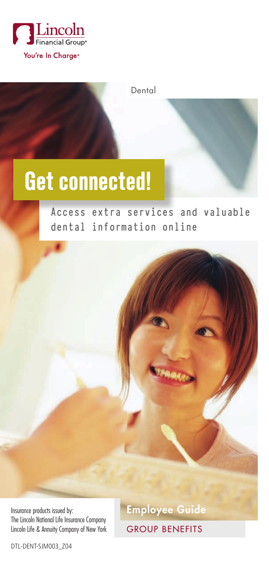

Dental

# **Get connected!**

**Access extra services and valuable dental information online**

Insurance products issued by: **Employee Guide** The Lincoln National Life Insurance Company Lincoln Life & Annuity Company of New York

GROUP BENEFITS

.<br>Maan

DTL-DENT-SJM003\_Z04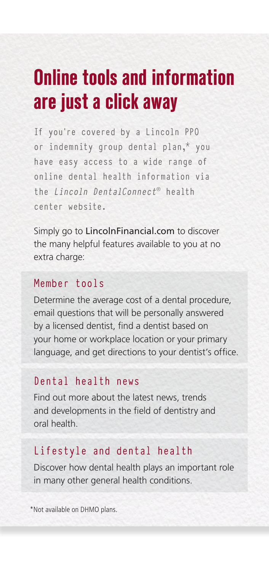### **Online tools and information are just a click away**

If you're covered by a Lincoln PPO or indemnity group dental plan,\* you have easy access to a wide range of online dental health information via the Lincoln DentalConnect® health center website.

Simply go to LincolnFinancial.com to discover the many helpful features available to you at no extra charge:

#### Member tools

Determine the average cost of a dental procedure, email questions that will be personally answered by a licensed dentist, find a dentist based on your home or workplace location or your primary language, and get directions to your dentist's office.

#### Dental health news

Find out more about the latest news, trends and developments in the field of dentistry and oral health.

#### Lifestyle and dental health

Discover how dental health plays an important role in many other general health conditions.

\*Not available on DHMO plans.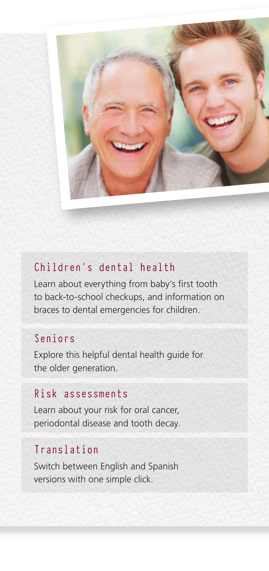

#### Children's dental health

Learn about everything from baby's first tooth to back-to-school checkups, and information on braces to dental emergencies for children.

#### Seniors

Explore this helpful dental health guide for the older generation.

#### Risk assessments

Learn about your risk for oral cancer, periodontal disease and tooth decay.

#### Translation

Switch between English and Spanish versions with one simple click.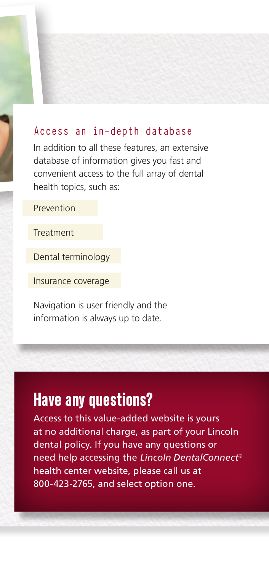#### Access an in-depth database

In addition to all these features, an extensive database of information gives you fast and convenient access to the full array of dental health topics, such as:

Prevention

**Treatment** 

Dental terminology

Insurance coverage

Navigation is user friendly and the information is always up to date.

### **Have any questions?**

Access to this value-added website is yours at no additional charge, as part of your Lincoln dental policy. If you have any questions or need help accessing the Lincoln *DentalConnect*® health center website, please call us at 800-423-2765, and select option one.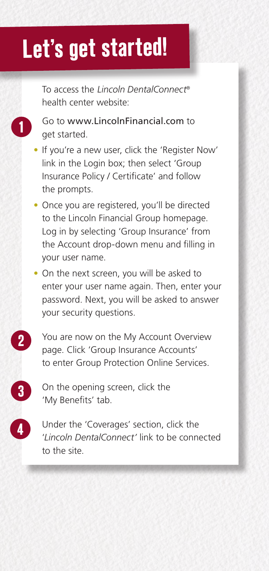# **Let's get started!**

To access the Lincoln *DentalConnect*® health center website:

- Go to www.LincolnFinancial.com to get started.
- If you're a new user, click the 'Register Now' link in the Login box; then select 'Group Insurance Policy / Certificate' and follow the prompts.
- Once you are registered, you'll be directed to the Lincoln Financial Group homepage. Log in by selecting 'Group Insurance' from the Account drop-down menu and filling in your user name.
- On the next screen, you will be asked to enter your user name again. Then, enter your password. Next, you will be asked to answer your security questions.
	- You are now on the My Account Overview page. Click 'Group Insurance Accounts' to enter Group Protection Online Services.
	- On the opening screen, click the 'My Benefits' tab.

**2**

**1**

**4**

**3**

Under the 'Coverages' section, click the '*Lincoln DentalConnect'* link to be connected to the site.